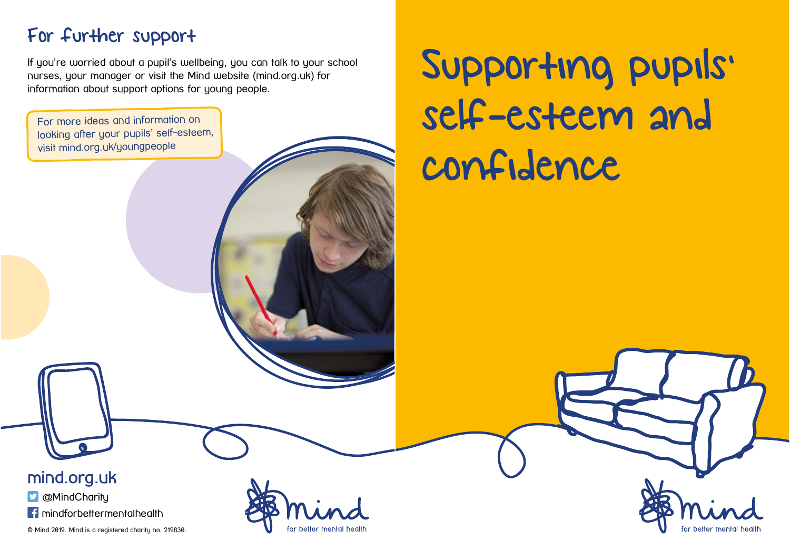## For further support

If you're worried about a pupil's wellbeing, you can talk to your school nurses, your manager or visit the Mind website (mind.org.uk) for information about support options for young people.

For more ideas and information on looking after your pupils' self-esteem, visit mind.org.uk/youngpeople

## Supporting pupils' self-esteem and confidence

mind.org.uk

**D** @MindCharity

**f** mindforbettermentalhealth

© Mind 2019. Mind is a registered charity no. 219830.